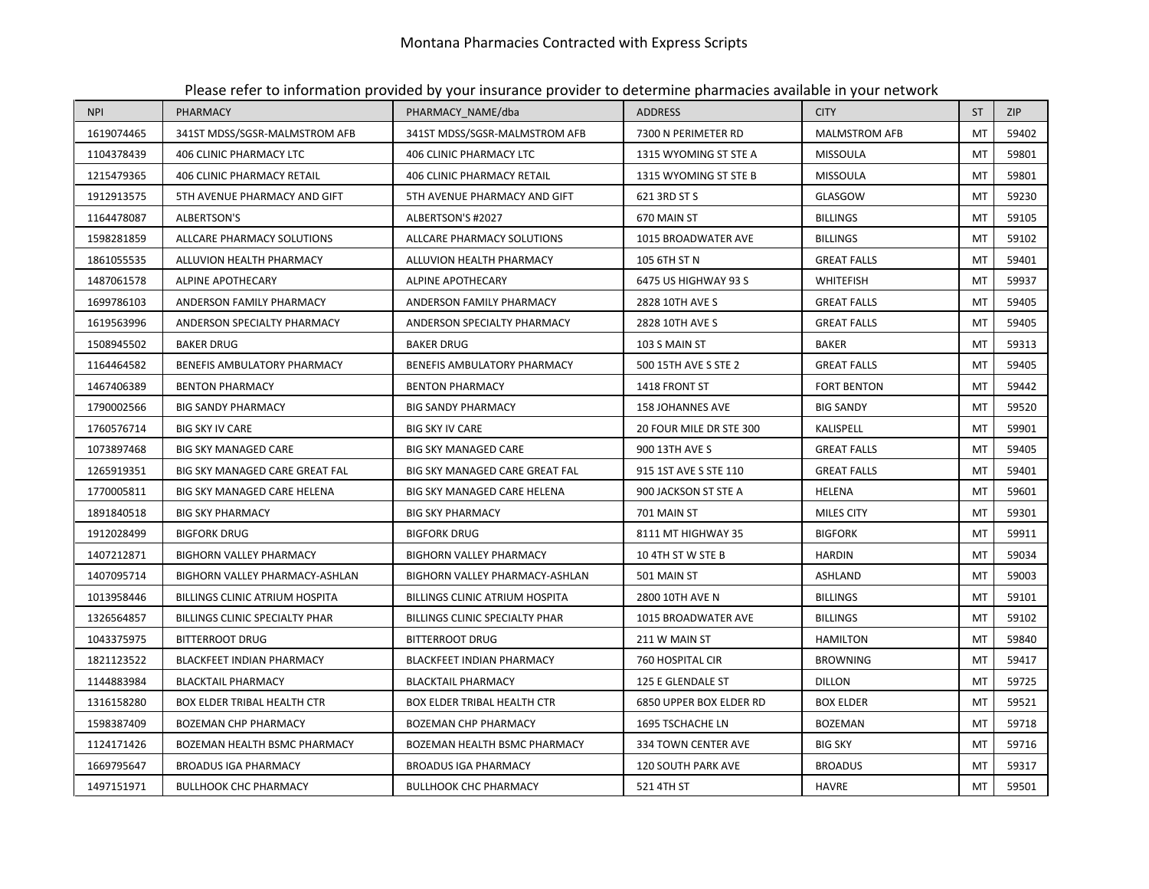| <b>NPI</b> | PHARMACY                           | PHARMACY_NAME/dba                     | <b>ADDRESS</b>                 | <b>CITY</b>          | <b>ST</b> | <b>ZIP</b> |
|------------|------------------------------------|---------------------------------------|--------------------------------|----------------------|-----------|------------|
| 1619074465 | 341ST MDSS/SGSR-MALMSTROM AFB      | 341ST MDSS/SGSR-MALMSTROM AFB         | 7300 N PERIMETER RD            | <b>MALMSTROM AFB</b> | MT        | 59402      |
| 1104378439 | 406 CLINIC PHARMACY LTC            | 406 CLINIC PHARMACY LTC               | 1315 WYOMING ST STE A          | <b>MISSOULA</b>      | MT        | 59801      |
| 1215479365 | <b>406 CLINIC PHARMACY RETAIL</b>  | <b>406 CLINIC PHARMACY RETAIL</b>     | 1315 WYOMING ST STE B          | <b>MISSOULA</b>      | MT        | 59801      |
| 1912913575 | 5TH AVENUE PHARMACY AND GIFT       | 5TH AVENUE PHARMACY AND GIFT          | 621 3RD ST S                   | GLASGOW              | M         | 59230      |
| 1164478087 | <b>ALBERTSON'S</b>                 | ALBERTSON'S #2027                     | 670 MAIN ST                    | <b>BILLINGS</b>      | MT        | 59105      |
| 1598281859 | ALLCARE PHARMACY SOLUTIONS         | ALLCARE PHARMACY SOLUTIONS            | 1015 BROADWATER AVE            | <b>BILLINGS</b>      | MT        | 59102      |
| 1861055535 | ALLUVION HEALTH PHARMACY           | ALLUVION HEALTH PHARMACY              | 105 6TH ST N                   | <b>GREAT FALLS</b>   | MT        | 59401      |
| 1487061578 | ALPINE APOTHECARY                  | ALPINE APOTHECARY                     | 6475 US HIGHWAY 93 S           | WHITEFISH            | M         | 59937      |
| 1699786103 | ANDERSON FAMILY PHARMACY           | ANDERSON FAMILY PHARMACY              | 2828 10TH AVE S                | <b>GREAT FALLS</b>   | MT        | 59405      |
| 1619563996 | ANDERSON SPECIALTY PHARMACY        | ANDERSON SPECIALTY PHARMACY           | 2828 10TH AVE S                | <b>GREAT FALLS</b>   | MT        | 59405      |
| 1508945502 | <b>BAKER DRUG</b>                  | <b>BAKER DRUG</b>                     | 103 S MAIN ST                  | <b>BAKER</b>         | MT        | 59313      |
| 1164464582 | BENEFIS AMBULATORY PHARMACY        | BENEFIS AMBULATORY PHARMACY           | 500 15TH AVE S STE 2           | <b>GREAT FALLS</b>   | MT        | 59405      |
| 1467406389 | <b>BENTON PHARMACY</b>             | <b>BENTON PHARMACY</b>                | 1418 FRONT ST                  | <b>FORT BENTON</b>   | MT        | 59442      |
| 1790002566 | <b>BIG SANDY PHARMACY</b>          | <b>BIG SANDY PHARMACY</b>             | <b>158 JOHANNES AVE</b>        | <b>BIG SANDY</b>     | MT        | 59520      |
| 1760576714 | <b>BIG SKY IV CARE</b>             | <b>BIG SKY IV CARE</b>                | 20 FOUR MILE DR STE 300        | KALISPELL            | MT        | 59901      |
| 1073897468 | <b>BIG SKY MANAGED CARE</b>        | <b>BIG SKY MANAGED CARE</b>           | 900 13TH AVE S                 | <b>GREAT FALLS</b>   | MT        | 59405      |
| 1265919351 | BIG SKY MANAGED CARE GREAT FAL     | BIG SKY MANAGED CARE GREAT FAL        | 915 1ST AVE S STE 110          | <b>GREAT FALLS</b>   | MT        | 59401      |
| 1770005811 | BIG SKY MANAGED CARE HELENA        | BIG SKY MANAGED CARE HELENA           | 900 JACKSON ST STE A           | HELENA               | MT        | 59601      |
| 1891840518 | <b>BIG SKY PHARMACY</b>            | <b>BIG SKY PHARMACY</b>               | 701 MAIN ST                    | <b>MILES CITY</b>    | MT        | 59301      |
| 1912028499 | <b>BIGFORK DRUG</b>                | <b>BIGFORK DRUG</b>                   | 8111 MT HIGHWAY 35             | <b>BIGFORK</b>       | MT        | 59911      |
| 1407212871 | <b>BIGHORN VALLEY PHARMACY</b>     | <b>BIGHORN VALLEY PHARMACY</b>        | 10 4TH ST W STE B              | <b>HARDIN</b>        | MT        | 59034      |
| 1407095714 | BIGHORN VALLEY PHARMACY-ASHLAN     | BIGHORN VALLEY PHARMACY-ASHLAN        | 501 MAIN ST                    | ASHLAND              | MT        | 59003      |
| 1013958446 | BILLINGS CLINIC ATRIUM HOSPITA     | <b>BILLINGS CLINIC ATRIUM HOSPITA</b> | 2800 10TH AVE N                | <b>BILLINGS</b>      | MT        | 59101      |
| 1326564857 | BILLINGS CLINIC SPECIALTY PHAR     | BILLINGS CLINIC SPECIALTY PHAR        | 1015 BROADWATER AVE            | <b>BILLINGS</b>      | MT        | 59102      |
| 1043375975 | <b>BITTERROOT DRUG</b>             | <b>BITTERROOT DRUG</b>                | 211 W MAIN ST                  | <b>HAMILTON</b>      | MT        | 59840      |
| 1821123522 | <b>BLACKFEET INDIAN PHARMACY</b>   | <b>BLACKFEET INDIAN PHARMACY</b>      | 760 HOSPITAL CIR               | <b>BROWNING</b>      | MT        | 59417      |
| 1144883984 | <b>BLACKTAIL PHARMACY</b>          | <b>BLACKTAIL PHARMACY</b>             | 125 E GLENDALE ST              | <b>DILLON</b>        | MT        | 59725      |
| 1316158280 | <b>BOX ELDER TRIBAL HEALTH CTR</b> | <b>BOX ELDER TRIBAL HEALTH CTR</b>    | <b>6850 UPPER BOX ELDER RD</b> | <b>BOX ELDER</b>     | MT        | 59521      |
| 1598387409 | <b>BOZEMAN CHP PHARMACY</b>        | <b>BOZEMAN CHP PHARMACY</b>           | 1695 TSCHACHE LN               | <b>BOZEMAN</b>       | MT        | 59718      |
| 1124171426 | BOZEMAN HEALTH BSMC PHARMACY       | BOZEMAN HEALTH BSMC PHARMACY          | 334 TOWN CENTER AVE            | <b>BIG SKY</b>       | MT        | 59716      |
| 1669795647 | <b>BROADUS IGA PHARMACY</b>        | <b>BROADUS IGA PHARMACY</b>           | 120 SOUTH PARK AVE             | <b>BROADUS</b>       | MT        | 59317      |
| 1497151971 | <b>BULLHOOK CHC PHARMACY</b>       | <b>BULLHOOK CHC PHARMACY</b>          | 521 4TH ST                     | <b>HAVRE</b>         | MT        | 59501      |

Please refer to information provided by your insurance provider to determine pharmacies available in your network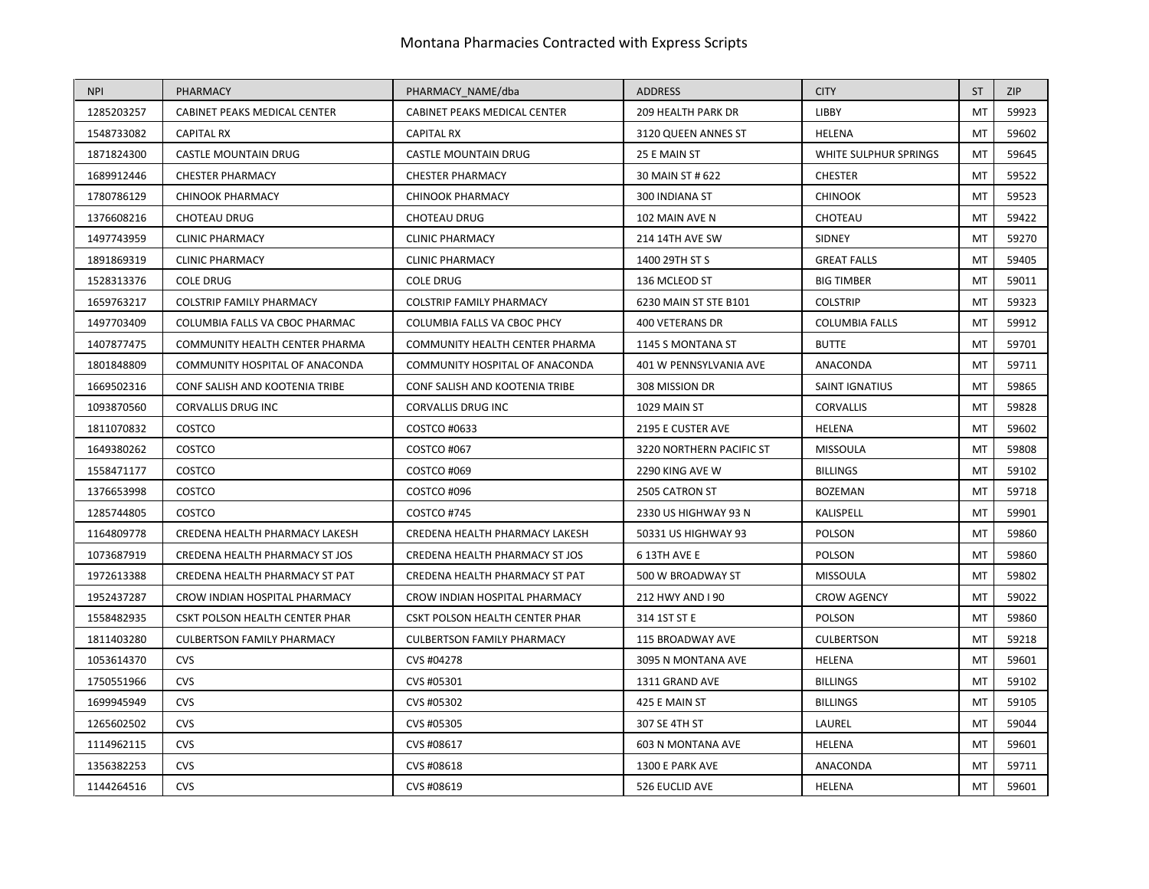| <b>NPI</b> | PHARMACY                          | PHARMACY NAME/dba                 | <b>ADDRESS</b>           | <b>CITY</b>           | <b>ST</b>      | <b>ZIP</b> |
|------------|-----------------------------------|-----------------------------------|--------------------------|-----------------------|----------------|------------|
| 1285203257 | CABINET PEAKS MEDICAL CENTER      | CABINET PEAKS MEDICAL CENTER      | 209 HEALTH PARK DR       | LIBBY                 | MT             | 59923      |
| 1548733082 | <b>CAPITAL RX</b>                 | <b>CAPITAL RX</b>                 | 3120 QUEEN ANNES ST      | <b>HELENA</b>         | MT             | 59602      |
| 1871824300 | <b>CASTLE MOUNTAIN DRUG</b>       | <b>CASTLE MOUNTAIN DRUG</b>       | 25 E MAIN ST             | WHITE SULPHUR SPRINGS | MT             | 59645      |
| 1689912446 | <b>CHESTER PHARMACY</b>           | <b>CHESTER PHARMACY</b>           | 30 MAIN ST # 622         | <b>CHESTER</b>        | MT             | 59522      |
| 1780786129 | <b>CHINOOK PHARMACY</b>           | <b>CHINOOK PHARMACY</b>           | 300 INDIANA ST           | <b>CHINOOK</b>        | MT             | 59523      |
| 1376608216 | <b>CHOTEAU DRUG</b>               | <b>CHOTEAU DRUG</b>               | 102 MAIN AVE N           | CHOTEAU               | MT             | 59422      |
| 1497743959 | <b>CLINIC PHARMACY</b>            | <b>CLINIC PHARMACY</b>            | 214 14TH AVE SW          | SIDNEY                | MT             | 59270      |
| 1891869319 | <b>CLINIC PHARMACY</b>            | <b>CLINIC PHARMACY</b>            | 1400 29TH ST S           | <b>GREAT FALLS</b>    | MT             | 59405      |
| 1528313376 | COLE DRUG                         | <b>COLE DRUG</b>                  | 136 MCLEOD ST            | <b>BIG TIMBER</b>     | MT             | 59011      |
| 1659763217 | <b>COLSTRIP FAMILY PHARMACY</b>   | <b>COLSTRIP FAMILY PHARMACY</b>   | 6230 MAIN ST STE B101    | <b>COLSTRIP</b>       | MT             | 59323      |
| 1497703409 | COLUMBIA FALLS VA CBOC PHARMAC    | COLUMBIA FALLS VA CBOC PHCY       | 400 VETERANS DR          | <b>COLUMBIA FALLS</b> | MT             | 59912      |
| 1407877475 | COMMUNITY HEALTH CENTER PHARMA    | COMMUNITY HEALTH CENTER PHARMA    | 1145 S MONTANA ST        | <b>BUTTE</b>          | MT             | 59701      |
| 1801848809 | COMMUNITY HOSPITAL OF ANACONDA    | COMMUNITY HOSPITAL OF ANACONDA    | 401 W PENNSYLVANIA AVE   | ANACONDA              | MT             | 59711      |
| 1669502316 | CONF SALISH AND KOOTENIA TRIBE    | CONF SALISH AND KOOTENIA TRIBE    | 308 MISSION DR           | <b>SAINT IGNATIUS</b> | M <sub>1</sub> | 59865      |
| 1093870560 | <b>CORVALLIS DRUG INC</b>         | CORVALLIS DRUG INC                | 1029 MAIN ST             | <b>CORVALLIS</b>      | MT             | 59828      |
| 1811070832 | COSTCO                            | COSTCO #0633                      | 2195 E CUSTER AVE        | HELENA                | M <sub>1</sub> | 59602      |
| 1649380262 | COSTCO                            | COSTCO #067                       | 3220 NORTHERN PACIFIC ST | MISSOULA              | MT             | 59808      |
| 1558471177 | COSTCO                            | COSTCO #069                       | 2290 KING AVE W          | <b>BILLINGS</b>       | MT             | 59102      |
| 1376653998 | COSTCO                            | COSTCO #096                       | 2505 CATRON ST           | <b>BOZEMAN</b>        | MT             | 59718      |
| 1285744805 | COSTCO                            | COSTCO #745                       | 2330 US HIGHWAY 93 N     | KALISPELL             | MT             | 59901      |
| 1164809778 | CREDENA HEALTH PHARMACY LAKESH    | CREDENA HEALTH PHARMACY LAKESH    | 50331 US HIGHWAY 93      | POLSON                | M              | 59860      |
| 1073687919 | CREDENA HEALTH PHARMACY ST JOS    | CREDENA HEALTH PHARMACY ST JOS    | 6 13TH AVE E             | <b>POLSON</b>         | MT             | 59860      |
| 1972613388 | CREDENA HEALTH PHARMACY ST PAT    | CREDENA HEALTH PHARMACY ST PAT    | 500 W BROADWAY ST        | <b>MISSOULA</b>       | MT             | 59802      |
| 1952437287 | CROW INDIAN HOSPITAL PHARMACY     | CROW INDIAN HOSPITAL PHARMACY     | 212 HWY AND I 90         | <b>CROW AGENCY</b>    | MT             | 59022      |
| 1558482935 | CSKT POLSON HEALTH CENTER PHAR    | CSKT POLSON HEALTH CENTER PHAR    | 314 1ST ST E             | POLSON                | MT             | 59860      |
| 1811403280 | <b>CULBERTSON FAMILY PHARMACY</b> | <b>CULBERTSON FAMILY PHARMACY</b> | 115 BROADWAY AVE         | <b>CULBERTSON</b>     | MT             | 59218      |
| 1053614370 | <b>CVS</b>                        | CVS #04278                        | 3095 N MONTANA AVE       | HELENA                | <b>MT</b>      | 59601      |
| 1750551966 | <b>CVS</b>                        | CVS #05301                        | 1311 GRAND AVE           | <b>BILLINGS</b>       | MT             | 59102      |
| 1699945949 | CVS                               | CVS #05302                        | 425 E MAIN ST            | <b>BILLINGS</b>       | MT             | 59105      |
| 1265602502 | <b>CVS</b>                        | CVS #05305                        | 307 SE 4TH ST            | LAUREL                | MT             | 59044      |
| 1114962115 | CVS                               | CVS #08617                        | 603 N MONTANA AVE        | HELENA                | MT             | 59601      |
| 1356382253 | <b>CVS</b>                        | CVS #08618                        | 1300 E PARK AVE          | ANACONDA              | MT             | 59711      |
| 1144264516 | <b>CVS</b>                        | CVS #08619                        | 526 EUCLID AVE           | HELENA                | MT             | 59601      |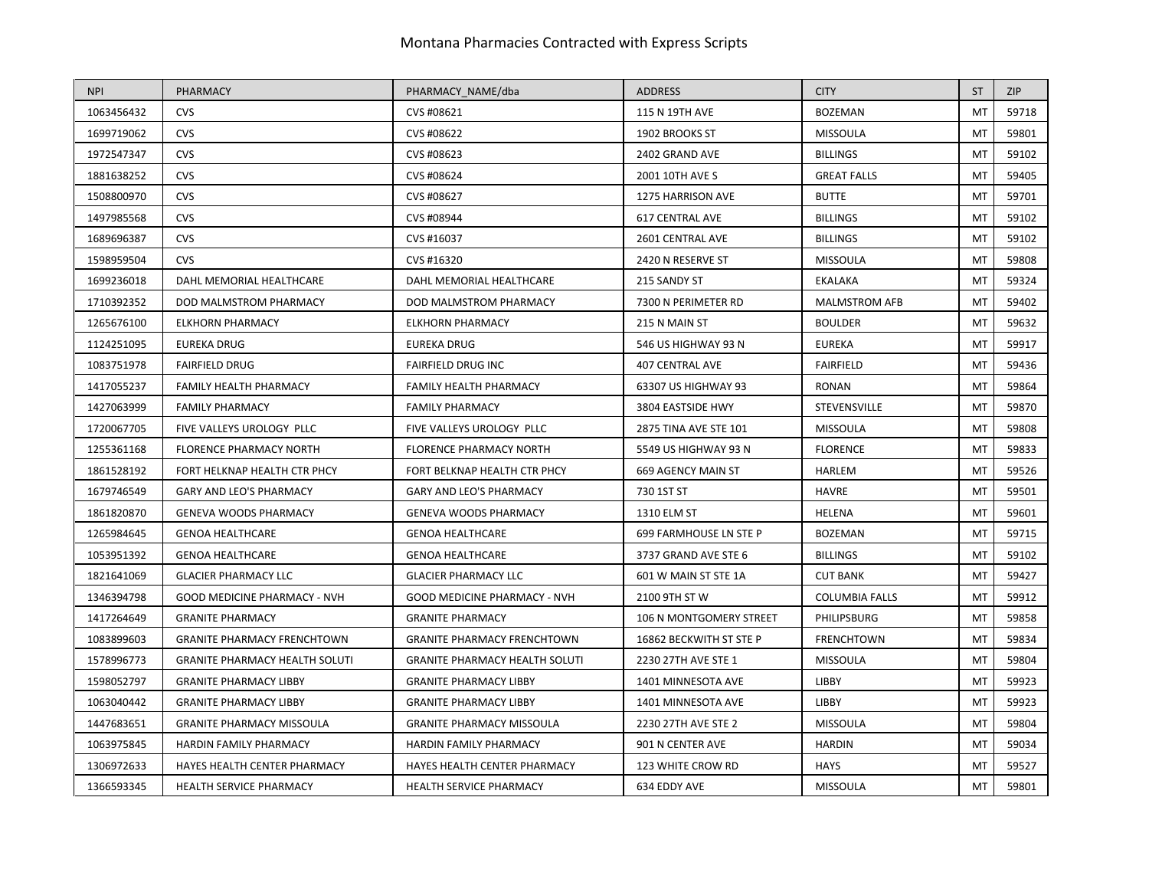| <b>NPI</b> | PHARMACY                              | PHARMACY NAME/dba                     | <b>ADDRESS</b>          | <b>CITY</b>           | <b>ST</b>      | <b>ZIP</b> |
|------------|---------------------------------------|---------------------------------------|-------------------------|-----------------------|----------------|------------|
| 1063456432 | <b>CVS</b>                            | CVS #08621                            | 115 N 19TH AVE          | <b>BOZEMAN</b>        | MT             | 59718      |
| 1699719062 | <b>CVS</b>                            | CVS #08622                            | 1902 BROOKS ST          | <b>MISSOULA</b>       | M <sub>T</sub> | 59801      |
| 1972547347 | <b>CVS</b>                            | CVS #08623                            | 2402 GRAND AVE          | <b>BILLINGS</b>       | MT             | 59102      |
| 1881638252 | <b>CVS</b>                            | CVS #08624                            | 2001 10TH AVE S         | <b>GREAT FALLS</b>    | M              | 59405      |
| 1508800970 | <b>CVS</b>                            | CVS #08627                            | 1275 HARRISON AVE       | <b>BUTTE</b>          | MT             | 59701      |
| 1497985568 | <b>CVS</b>                            | CVS #08944                            | 617 CENTRAL AVE         | <b>BILLINGS</b>       | M <sub>1</sub> | 59102      |
| 1689696387 | <b>CVS</b>                            | CVS #16037                            | 2601 CENTRAL AVE        | <b>BILLINGS</b>       | M <sub>T</sub> | 59102      |
| 1598959504 | <b>CVS</b>                            | CVS #16320                            | 2420 N RESERVE ST       | <b>MISSOULA</b>       | MT             | 59808      |
| 1699236018 | DAHL MEMORIAL HEALTHCARE              | DAHL MEMORIAL HEALTHCARE              | 215 SANDY ST            | <b>EKALAKA</b>        | M              | 59324      |
| 1710392352 | DOD MALMSTROM PHARMACY                | DOD MALMSTROM PHARMACY                | 7300 N PERIMETER RD     | <b>MALMSTROM AFB</b>  | MT             | 59402      |
| 1265676100 | <b>ELKHORN PHARMACY</b>               | <b>ELKHORN PHARMACY</b>               | 215 N MAIN ST           | <b>BOULDER</b>        | M <sub>1</sub> | 59632      |
| 1124251095 | <b>EUREKA DRUG</b>                    | <b>EUREKA DRUG</b>                    | 546 US HIGHWAY 93 N     | <b>EUREKA</b>         | MT             | 59917      |
| 1083751978 | <b>FAIRFIELD DRUG</b>                 | <b>FAIRFIELD DRUG INC</b>             | <b>407 CENTRAL AVE</b>  | <b>FAIRFIELD</b>      | M              | 59436      |
| 1417055237 | <b>FAMILY HEALTH PHARMACY</b>         | FAMILY HEALTH PHARMACY                | 63307 US HIGHWAY 93     | <b>RONAN</b>          | M              | 59864      |
| 1427063999 | <b>FAMILY PHARMACY</b>                | <b>FAMILY PHARMACY</b>                | 3804 EASTSIDE HWY       | <b>STEVENSVILLE</b>   | MT             | 59870      |
| 1720067705 | FIVE VALLEYS UROLOGY PLLC             | FIVE VALLEYS UROLOGY PLLC             | 2875 TINA AVE STE 101   | <b>MISSOULA</b>       | M <sub>1</sub> | 59808      |
| 1255361168 | <b>FLORENCE PHARMACY NORTH</b>        | <b>FLORENCE PHARMACY NORTH</b>        | 5549 US HIGHWAY 93 N    | <b>FLORENCE</b>       | MT             | 59833      |
| 1861528192 | FORT HELKNAP HEALTH CTR PHCY          | FORT BELKNAP HEALTH CTR PHCY          | 669 AGENCY MAIN ST      | <b>HARLEM</b>         | MT             | 59526      |
| 1679746549 | <b>GARY AND LEO'S PHARMACY</b>        | <b>GARY AND LEO'S PHARMACY</b>        | 730 1ST ST              | <b>HAVRE</b>          | MT             | 59501      |
| 1861820870 | <b>GENEVA WOODS PHARMACY</b>          | <b>GENEVA WOODS PHARMACY</b>          | 1310 ELM ST             | HELENA                | MT             | 59601      |
| 1265984645 | <b>GENOA HEALTHCARE</b>               | <b>GENOA HEALTHCARE</b>               | 699 FARMHOUSE LN STE P  | <b>BOZEMAN</b>        | M <sub>1</sub> | 59715      |
| 1053951392 | <b>GENOA HEALTHCARE</b>               | <b>GENOA HEALTHCARE</b>               | 3737 GRAND AVE STE 6    | <b>BILLINGS</b>       | MT             | 59102      |
| 1821641069 | <b>GLACIER PHARMACY LLC</b>           | <b>GLACIER PHARMACY LLC</b>           | 601 W MAIN ST STE 1A    | <b>CUT BANK</b>       | MT             | 59427      |
| 1346394798 | <b>GOOD MEDICINE PHARMACY - NVH</b>   | GOOD MEDICINE PHARMACY - NVH          | 2100 9TH ST W           | <b>COLUMBIA FALLS</b> | M              | 59912      |
| 1417264649 | <b>GRANITE PHARMACY</b>               | <b>GRANITE PHARMACY</b>               | 106 N MONTGOMERY STREET | PHILIPSBURG           | MT             | 59858      |
| 1083899603 | <b>GRANITE PHARMACY FRENCHTOWN</b>    | <b>GRANITE PHARMACY FRENCHTOWN</b>    | 16862 BECKWITH ST STE P | <b>FRENCHTOWN</b>     | M              | 59834      |
| 1578996773 | <b>GRANITE PHARMACY HEALTH SOLUTI</b> | <b>GRANITE PHARMACY HEALTH SOLUTI</b> | 2230 27TH AVE STE 1     | <b>MISSOULA</b>       | MT             | 59804      |
| 1598052797 | <b>GRANITE PHARMACY LIBBY</b>         | <b>GRANITE PHARMACY LIBBY</b>         | 1401 MINNESOTA AVE      | LIBBY                 | MT             | 59923      |
| 1063040442 | <b>GRANITE PHARMACY LIBBY</b>         | <b>GRANITE PHARMACY LIBBY</b>         | 1401 MINNESOTA AVE      | <b>LIBBY</b>          | MT             | 59923      |
| 1447683651 | <b>GRANITE PHARMACY MISSOULA</b>      | <b>GRANITE PHARMACY MISSOULA</b>      | 2230 27TH AVE STE 2     | <b>MISSOULA</b>       | MT             | 59804      |
| 1063975845 | HARDIN FAMILY PHARMACY                | HARDIN FAMILY PHARMACY                | 901 N CENTER AVE        | <b>HARDIN</b>         | M              | 59034      |
| 1306972633 | HAYES HEALTH CENTER PHARMACY          | HAYES HEALTH CENTER PHARMACY          | 123 WHITE CROW RD       | <b>HAYS</b>           | MT             | 59527      |
| 1366593345 | HEALTH SERVICE PHARMACY               | <b>HEALTH SERVICE PHARMACY</b>        | 634 EDDY AVE            | <b>MISSOULA</b>       | MT             | 59801      |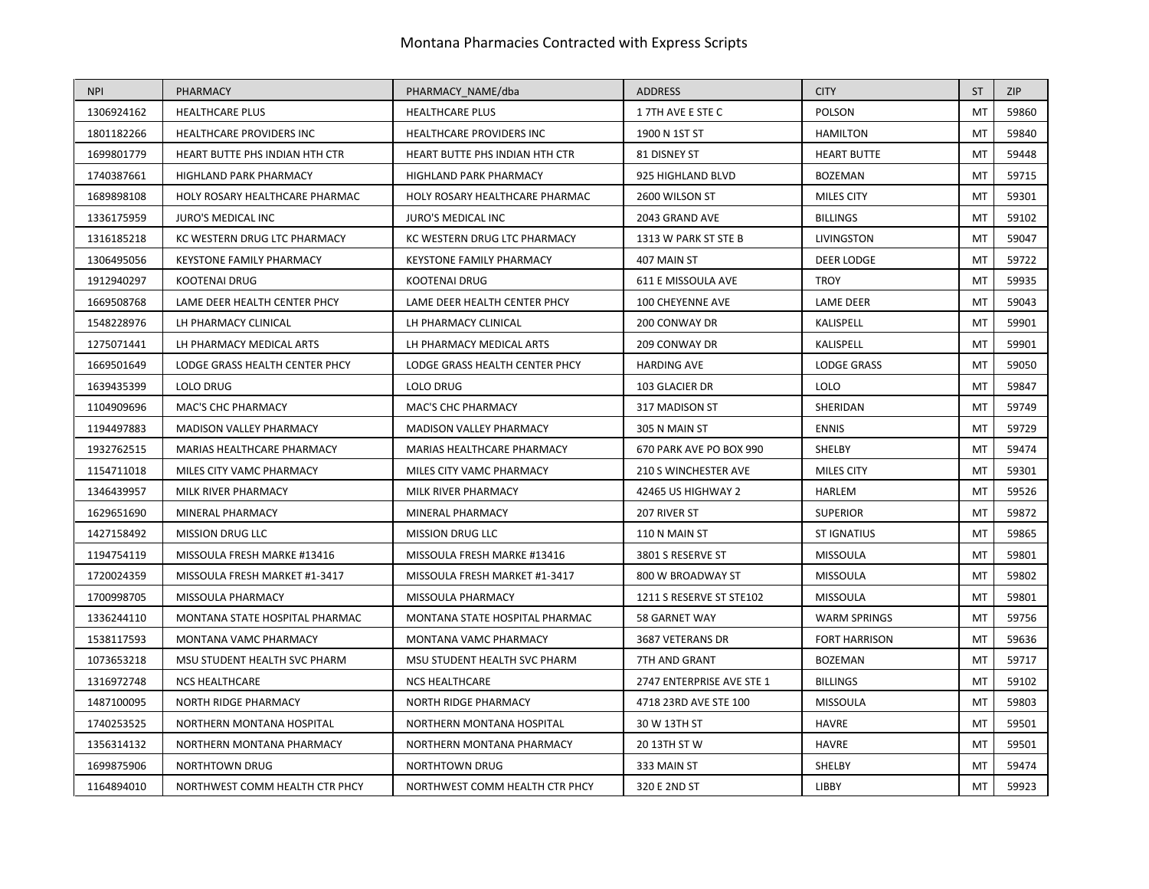| <b>NPI</b> | PHARMACY                        | PHARMACY NAME/dba               | <b>ADDRESS</b>            | <b>CITY</b>          | <b>ST</b>      | <b>ZIP</b> |
|------------|---------------------------------|---------------------------------|---------------------------|----------------------|----------------|------------|
| 1306924162 | <b>HEALTHCARE PLUS</b>          | <b>HEALTHCARE PLUS</b>          | 17TH AVE E STE C          | <b>POLSON</b>        | M <sub>1</sub> | 59860      |
| 1801182266 | HEALTHCARE PROVIDERS INC        | HEALTHCARE PROVIDERS INC        | 1900 N 1ST ST             | <b>HAMILTON</b>      | M <sub>T</sub> | 59840      |
| 1699801779 | HEART BUTTE PHS INDIAN HTH CTR  | HEART BUTTE PHS INDIAN HTH CTR  | 81 DISNEY ST              | <b>HEART BUTTE</b>   | MT             | 59448      |
| 1740387661 | <b>HIGHLAND PARK PHARMACY</b>   | <b>HIGHLAND PARK PHARMACY</b>   | 925 HIGHLAND BLVD         | <b>BOZEMAN</b>       | M <sub>1</sub> | 59715      |
| 1689898108 | HOLY ROSARY HEALTHCARE PHARMAC  | HOLY ROSARY HEALTHCARE PHARMAC  | 2600 WILSON ST            | <b>MILES CITY</b>    | MT             | 59301      |
| 1336175959 | JURO'S MEDICAL INC              | JURO'S MEDICAL INC              | 2043 GRAND AVE            | <b>BILLINGS</b>      | M <sub>1</sub> | 59102      |
| 1316185218 | KC WESTERN DRUG LTC PHARMACY    | KC WESTERN DRUG LTC PHARMACY    | 1313 W PARK ST STE B      | <b>LIVINGSTON</b>    | MT             | 59047      |
| 1306495056 | <b>KEYSTONE FAMILY PHARMACY</b> | <b>KEYSTONE FAMILY PHARMACY</b> | 407 MAIN ST               | <b>DEER LODGE</b>    | MT             | 59722      |
| 1912940297 | KOOTENAI DRUG                   | KOOTENAI DRUG                   | 611 E MISSOULA AVE        | <b>TROY</b>          | MT             | 59935      |
| 1669508768 | LAME DEER HEALTH CENTER PHCY    | LAME DEER HEALTH CENTER PHCY    | 100 CHEYENNE AVE          | <b>LAME DEER</b>     | MT             | 59043      |
| 1548228976 | LH PHARMACY CLINICAL            | LH PHARMACY CLINICAL            | 200 CONWAY DR             | KALISPELL            | MT             | 59901      |
| 1275071441 | LH PHARMACY MEDICAL ARTS        | LH PHARMACY MEDICAL ARTS        | 209 CONWAY DR             | KALISPELL            | MT             | 59901      |
| 1669501649 | LODGE GRASS HEALTH CENTER PHCY  | LODGE GRASS HEALTH CENTER PHCY  | <b>HARDING AVE</b>        | <b>LODGE GRASS</b>   | MT             | 59050      |
| 1639435399 | LOLO DRUG                       | LOLO DRUG                       | 103 GLACIER DR            | <b>LOLO</b>          | M <sub>1</sub> | 59847      |
| 1104909696 | <b>MAC'S CHC PHARMACY</b>       | <b>MAC'S CHC PHARMACY</b>       | 317 MADISON ST            | SHERIDAN             | M <sub>1</sub> | 59749      |
| 1194497883 | MADISON VALLEY PHARMACY         | MADISON VALLEY PHARMACY         | 305 N MAIN ST             | <b>ENNIS</b>         | MT             | 59729      |
| 1932762515 | MARIAS HEALTHCARE PHARMACY      | MARIAS HEALTHCARE PHARMACY      | 670 PARK AVE PO BOX 990   | SHELBY               | M <sub>1</sub> | 59474      |
| 1154711018 | MILES CITY VAMC PHARMACY        | MILES CITY VAMC PHARMACY        | 210 S WINCHESTER AVE      | <b>MILES CITY</b>    | MT             | 59301      |
| 1346439957 | MILK RIVER PHARMACY             | MILK RIVER PHARMACY             | 42465 US HIGHWAY 2        | <b>HARLEM</b>        | MT             | 59526      |
| 1629651690 | MINERAL PHARMACY                | MINERAL PHARMACY                | 207 RIVER ST              | <b>SUPERIOR</b>      | MT             | 59872      |
| 1427158492 | <b>MISSION DRUG LLC</b>         | <b>MISSION DRUG LLC</b>         | 110 N MAIN ST             | <b>ST IGNATIUS</b>   | MT             | 59865      |
| 1194754119 | MISSOULA FRESH MARKE #13416     | MISSOULA FRESH MARKE #13416     | 3801 S RESERVE ST         | <b>MISSOULA</b>      | M <sub>1</sub> | 59801      |
| 1720024359 | MISSOULA FRESH MARKET #1-3417   | MISSOULA FRESH MARKET #1-3417   | 800 W BROADWAY ST         | <b>MISSOULA</b>      | MT             | 59802      |
| 1700998705 | MISSOULA PHARMACY               | MISSOULA PHARMACY               | 1211 S RESERVE ST STE102  | <b>MISSOULA</b>      | MT             | 59801      |
| 1336244110 | MONTANA STATE HOSPITAL PHARMAC  | MONTANA STATE HOSPITAL PHARMAC  | 58 GARNET WAY             | <b>WARM SPRINGS</b>  | MT             | 59756      |
| 1538117593 | MONTANA VAMC PHARMACY           | MONTANA VAMC PHARMACY           | 3687 VETERANS DR          | <b>FORT HARRISON</b> | M <sub>1</sub> | 59636      |
| 1073653218 | MSU STUDENT HEALTH SVC PHARM    | MSU STUDENT HEALTH SVC PHARM    | 7TH AND GRANT             | <b>BOZEMAN</b>       | MT             | 59717      |
| 1316972748 | <b>NCS HEALTHCARE</b>           | <b>NCS HEALTHCARE</b>           | 2747 ENTERPRISE AVE STE 1 | <b>BILLINGS</b>      | MT             | 59102      |
| 1487100095 | NORTH RIDGE PHARMACY            | NORTH RIDGE PHARMACY            | 4718 23RD AVE STE 100     | <b>MISSOULA</b>      | MT             | 59803      |
| 1740253525 | NORTHERN MONTANA HOSPITAL       | NORTHERN MONTANA HOSPITAL       | 30 W 13TH ST              | <b>HAVRE</b>         | M <sub>1</sub> | 59501      |
| 1356314132 | NORTHERN MONTANA PHARMACY       | NORTHERN MONTANA PHARMACY       | 20 13TH ST W              | <b>HAVRE</b>         | MT             | 59501      |
| 1699875906 | <b>NORTHTOWN DRUG</b>           | <b>NORTHTOWN DRUG</b>           | 333 MAIN ST               | SHELBY               | MT             | 59474      |
| 1164894010 | NORTHWEST COMM HEALTH CTR PHCY  | NORTHWEST COMM HEALTH CTR PHCY  | 320 E 2ND ST              | LIBBY                | MT             | 59923      |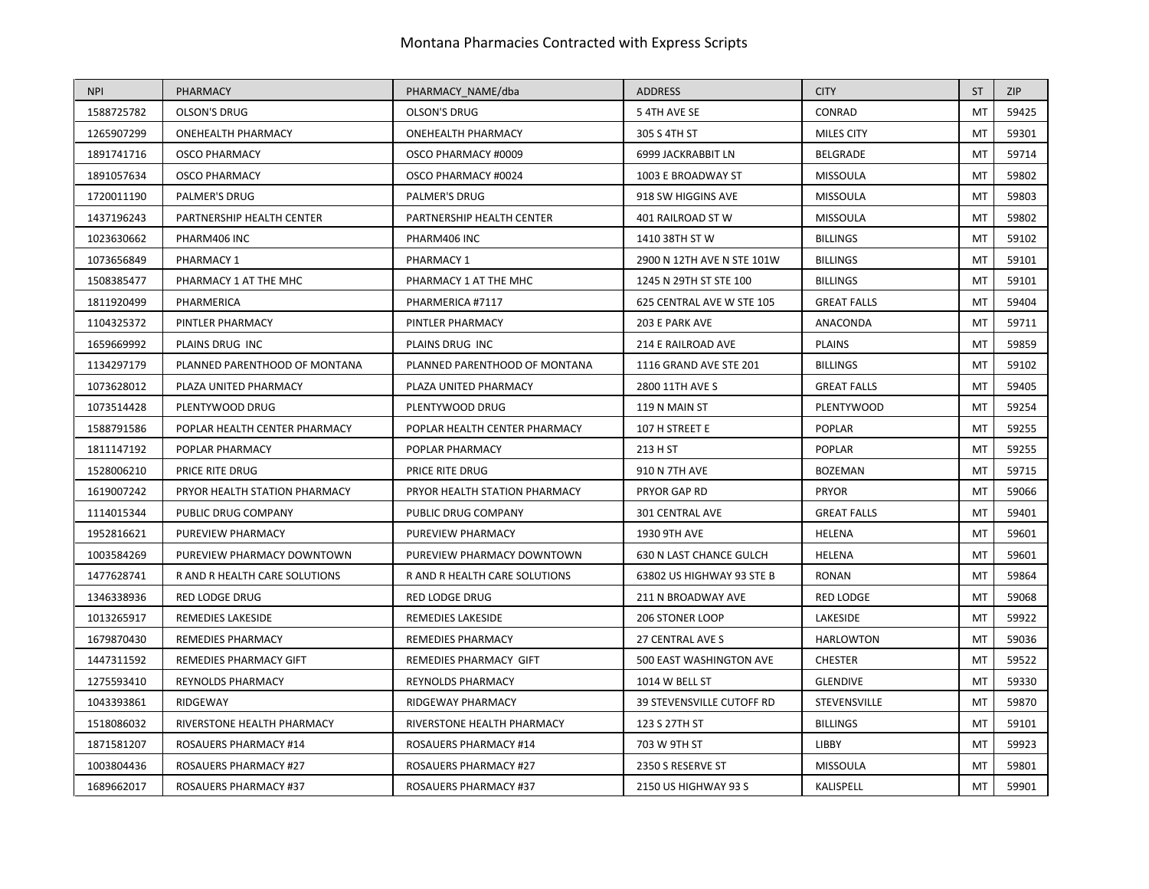| <b>NPI</b> | PHARMACY                      | PHARMACY_NAME/dba             | <b>ADDRESS</b>             | <b>CITY</b>        | <b>ST</b>      | <b>ZIP</b> |
|------------|-------------------------------|-------------------------------|----------------------------|--------------------|----------------|------------|
| 1588725782 | <b>OLSON'S DRUG</b>           | <b>OLSON'S DRUG</b>           | 54TH AVE SE                | CONRAD             | M <sub>1</sub> | 59425      |
| 1265907299 | <b>ONEHEALTH PHARMACY</b>     | <b>ONEHEALTH PHARMACY</b>     | 305 S 4TH ST               | MILES CITY         | M <sub>1</sub> | 59301      |
| 1891741716 | <b>OSCO PHARMACY</b>          | OSCO PHARMACY #0009           | 6999 JACKRABBIT LN         | <b>BELGRADE</b>    | MT             | 59714      |
| 1891057634 | <b>OSCO PHARMACY</b>          | OSCO PHARMACY #0024           | 1003 E BROADWAY ST         | <b>MISSOULA</b>    | M <sub>T</sub> | 59802      |
| 1720011190 | PALMER'S DRUG                 | PALMER'S DRUG                 | 918 SW HIGGINS AVE         | <b>MISSOULA</b>    | MT             | 59803      |
| 1437196243 | PARTNERSHIP HEALTH CENTER     | PARTNERSHIP HEALTH CENTER     | 401 RAILROAD ST W          | <b>MISSOULA</b>    | M <sub>1</sub> | 59802      |
| 1023630662 | PHARM406 INC                  | PHARM406 INC                  | 1410 38TH ST W             | <b>BILLINGS</b>    | MT             | 59102      |
| 1073656849 | PHARMACY 1                    | PHARMACY 1                    | 2900 N 12TH AVE N STE 101W | <b>BILLINGS</b>    | MT             | 59101      |
| 1508385477 | PHARMACY 1 AT THE MHC         | PHARMACY 1 AT THE MHC         | 1245 N 29TH ST STE 100     | <b>BILLINGS</b>    | MT             | 59101      |
| 1811920499 | PHARMERICA                    | PHARMERICA #7117              | 625 CENTRAL AVE W STE 105  | <b>GREAT FALLS</b> | MT             | 59404      |
| 1104325372 | PINTLER PHARMACY              | PINTLER PHARMACY              | 203 E PARK AVE             | ANACONDA           | MT             | 59711      |
| 1659669992 | PLAINS DRUG INC               | PLAINS DRUG INC               | 214 E RAILROAD AVE         | <b>PLAINS</b>      | MT             | 59859      |
| 1134297179 | PLANNED PARENTHOOD OF MONTANA | PLANNED PARENTHOOD OF MONTANA | 1116 GRAND AVE STE 201     | <b>BILLINGS</b>    | MT             | 59102      |
| 1073628012 | PLAZA UNITED PHARMACY         | PLAZA UNITED PHARMACY         | 2800 11TH AVE S            | <b>GREAT FALLS</b> | M              | 59405      |
| 1073514428 | PLENTYWOOD DRUG               | PLENTYWOOD DRUG               | 119 N MAIN ST              | <b>PLENTYWOOD</b>  | MT             | 59254      |
| 1588791586 | POPLAR HEALTH CENTER PHARMACY | POPLAR HEALTH CENTER PHARMACY | 107 H STREET E             | <b>POPLAR</b>      | MT             | 59255      |
| 1811147192 | POPLAR PHARMACY               | POPLAR PHARMACY               | 213 H ST                   | <b>POPLAR</b>      | MT             | 59255      |
| 1528006210 | PRICE RITE DRUG               | PRICE RITE DRUG               | 910 N 7TH AVE              | <b>BOZEMAN</b>     | MT             | 59715      |
| 1619007242 | PRYOR HEALTH STATION PHARMACY | PRYOR HEALTH STATION PHARMACY | PRYOR GAP RD               | <b>PRYOR</b>       | M              | 59066      |
| 1114015344 | PUBLIC DRUG COMPANY           | PUBLIC DRUG COMPANY           | 301 CENTRAL AVE            | <b>GREAT FALLS</b> | MT             | 59401      |
| 1952816621 | PUREVIEW PHARMACY             | PUREVIEW PHARMACY             | 1930 9TH AVE               | HELENA             | M              | 59601      |
| 1003584269 | PUREVIEW PHARMACY DOWNTOWN    | PUREVIEW PHARMACY DOWNTOWN    | 630 N LAST CHANCE GULCH    | <b>HELENA</b>      | M <sub>T</sub> | 59601      |
| 1477628741 | R AND R HEALTH CARE SOLUTIONS | R AND R HEALTH CARE SOLUTIONS | 63802 US HIGHWAY 93 STE B  | <b>RONAN</b>       | MT             | 59864      |
| 1346338936 | <b>RED LODGE DRUG</b>         | RED LODGE DRUG                | 211 N BROADWAY AVE         | <b>RED LODGE</b>   | MT             | 59068      |
| 1013265917 | REMEDIES LAKESIDE             | REMEDIES LAKESIDE             | 206 STONER LOOP            | LAKESIDE           | MT             | 59922      |
| 1679870430 | REMEDIES PHARMACY             | REMEDIES PHARMACY             | 27 CENTRAL AVE S           | <b>HARLOWTON</b>   | M <sub>1</sub> | 59036      |
| 1447311592 | REMEDIES PHARMACY GIFT        | REMEDIES PHARMACY GIFT        | 500 EAST WASHINGTON AVE    | <b>CHESTER</b>     | MT             | 59522      |
| 1275593410 | <b>REYNOLDS PHARMACY</b>      | REYNOLDS PHARMACY             | 1014 W BELL ST             | <b>GLENDIVE</b>    | MT             | 59330      |
| 1043393861 | <b>RIDGEWAY</b>               | RIDGEWAY PHARMACY             | 39 STEVENSVILLE CUTOFF RD  | STEVENSVILLE       | MT             | 59870      |
| 1518086032 | RIVERSTONE HEALTH PHARMACY    | RIVERSTONE HEALTH PHARMACY    | 123 S 27TH ST              | <b>BILLINGS</b>    | MT             | 59101      |
| 1871581207 | ROSAUERS PHARMACY #14         | <b>ROSAUERS PHARMACY #14</b>  | 703 W 9TH ST               | LIBBY              | MT             | 59923      |
| 1003804436 | <b>ROSAUERS PHARMACY #27</b>  | ROSAUERS PHARMACY #27         | 2350 S RESERVE ST          | <b>MISSOULA</b>    | MT             | 59801      |
| 1689662017 | <b>ROSAUERS PHARMACY #37</b>  | <b>ROSAUERS PHARMACY #37</b>  | 2150 US HIGHWAY 93 S       | KALISPELL          | MT             | 59901      |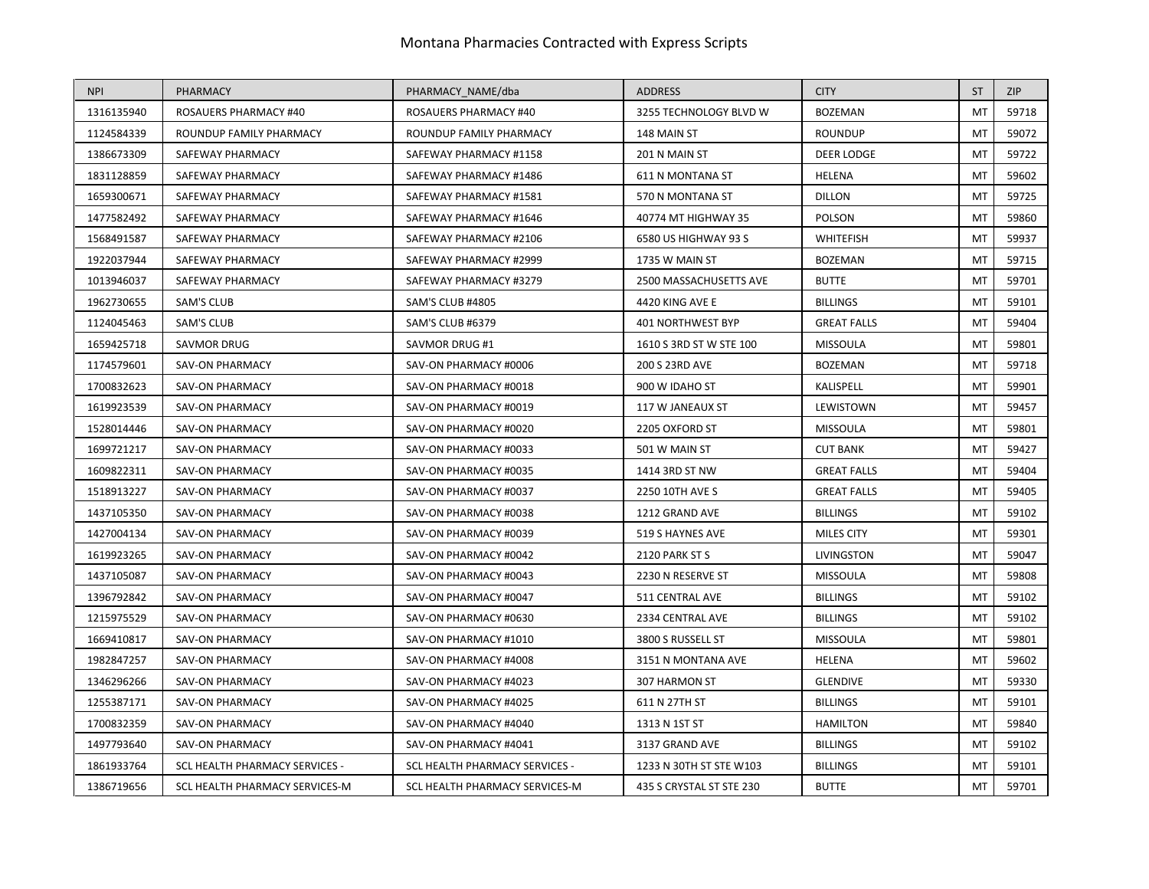| <b>NPI</b> | PHARMACY                       | PHARMACY NAME/dba                     | <b>ADDRESS</b>           | <b>CITY</b>        | <b>ST</b>      | <b>ZIP</b> |
|------------|--------------------------------|---------------------------------------|--------------------------|--------------------|----------------|------------|
| 1316135940 | <b>ROSAUERS PHARMACY #40</b>   | <b>ROSAUERS PHARMACY #40</b>          | 3255 TECHNOLOGY BLVD W   | <b>BOZEMAN</b>     | MT             | 59718      |
| 1124584339 | ROUNDUP FAMILY PHARMACY        | ROUNDUP FAMILY PHARMACY               | 148 MAIN ST              | <b>ROUNDUP</b>     | MT             | 59072      |
| 1386673309 | SAFEWAY PHARMACY               | SAFEWAY PHARMACY #1158                | 201 N MAIN ST            | DEER LODGE         | MT             | 59722      |
| 1831128859 | SAFEWAY PHARMACY               | SAFEWAY PHARMACY #1486                | <b>611 N MONTANA ST</b>  | HELENA             | M <sub>1</sub> | 59602      |
| 1659300671 | SAFEWAY PHARMACY               | SAFEWAY PHARMACY #1581                | 570 N MONTANA ST         | <b>DILLON</b>      | M <sub>1</sub> | 59725      |
| 1477582492 | SAFEWAY PHARMACY               | SAFEWAY PHARMACY #1646                | 40774 MT HIGHWAY 35      | POLSON             | MT             | 59860      |
| 1568491587 | SAFEWAY PHARMACY               | SAFEWAY PHARMACY #2106                | 6580 US HIGHWAY 93 S     | WHITEFISH          | MT             | 59937      |
| 1922037944 | SAFEWAY PHARMACY               | SAFEWAY PHARMACY #2999                | 1735 W MAIN ST           | <b>BOZEMAN</b>     | MT             | 59715      |
| 1013946037 | SAFEWAY PHARMACY               | SAFEWAY PHARMACY #3279                | 2500 MASSACHUSETTS AVE   | <b>BUTTE</b>       | MT             | 59701      |
| 1962730655 | <b>SAM'S CLUB</b>              | <b>SAM'S CLUB #4805</b>               | 4420 KING AVE E          | <b>BILLINGS</b>    | MT             | 59101      |
| 1124045463 | <b>SAM'S CLUB</b>              | SAM'S CLUB #6379                      | <b>401 NORTHWEST BYP</b> | <b>GREAT FALLS</b> | M              | 59404      |
| 1659425718 | <b>SAVMOR DRUG</b>             | SAVMOR DRUG #1                        | 1610 S 3RD ST W STE 100  | <b>MISSOULA</b>    | M <sub>1</sub> | 59801      |
| 1174579601 | SAV-ON PHARMACY                | SAV-ON PHARMACY #0006                 | 200 S 23RD AVE           | <b>BOZEMAN</b>     | MT             | 59718      |
| 1700832623 | SAV-ON PHARMACY                | SAV-ON PHARMACY #0018                 | 900 W IDAHO ST           | KALISPELL          | MT             | 59901      |
| 1619923539 | <b>SAV-ON PHARMACY</b>         | SAV-ON PHARMACY #0019                 | 117 W JANEAUX ST         | LEWISTOWN          | MT             | 59457      |
| 1528014446 | SAV-ON PHARMACY                | SAV-ON PHARMACY #0020                 | 2205 OXFORD ST           | <b>MISSOULA</b>    | M <sub>1</sub> | 59801      |
| 1699721217 | SAV-ON PHARMACY                | SAV-ON PHARMACY #0033                 | 501 W MAIN ST            | <b>CUT BANK</b>    | MT             | 59427      |
| 1609822311 | <b>SAV-ON PHARMACY</b>         | SAV-ON PHARMACY #0035                 | 1414 3RD ST NW           | <b>GREAT FALLS</b> | MT             | 59404      |
| 1518913227 | SAV-ON PHARMACY                | SAV-ON PHARMACY #0037                 | 2250 10TH AVE S          | <b>GREAT FALLS</b> | MT             | 59405      |
| 1437105350 | <b>SAV-ON PHARMACY</b>         | SAV-ON PHARMACY #0038                 | 1212 GRAND AVE           | <b>BILLINGS</b>    | MT             | 59102      |
| 1427004134 | SAV-ON PHARMACY                | SAV-ON PHARMACY #0039                 | 519 S HAYNES AVE         | MILES CITY         | <b>MT</b>      | 59301      |
| 1619923265 | SAV-ON PHARMACY                | SAV-ON PHARMACY #0042                 | 2120 PARK ST S           | <b>LIVINGSTON</b>  | MT             | 59047      |
| 1437105087 | <b>SAV-ON PHARMACY</b>         | SAV-ON PHARMACY #0043                 | 2230 N RESERVE ST        | <b>MISSOULA</b>    | MT             | 59808      |
| 1396792842 | SAV-ON PHARMACY                | SAV-ON PHARMACY #0047                 | 511 CENTRAL AVE          | <b>BILLINGS</b>    | MT             | 59102      |
| 1215975529 | SAV-ON PHARMACY                | SAV-ON PHARMACY #0630                 | 2334 CENTRAL AVE         | <b>BILLINGS</b>    | M <sub>1</sub> | 59102      |
| 1669410817 | <b>SAV-ON PHARMACY</b>         | SAV-ON PHARMACY #1010                 | 3800 S RUSSELL ST        | <b>MISSOULA</b>    | M              | 59801      |
| 1982847257 | SAV-ON PHARMACY                | SAV-ON PHARMACY #4008                 | 3151 N MONTANA AVE       | HELENA             | MT             | 59602      |
| 1346296266 | <b>SAV-ON PHARMACY</b>         | SAV-ON PHARMACY #4023                 | 307 HARMON ST            | <b>GLENDIVE</b>    | MT             | 59330      |
| 1255387171 | <b>SAV-ON PHARMACY</b>         | SAV-ON PHARMACY #4025                 | 611 N 27TH ST            | <b>BILLINGS</b>    | MT             | 59101      |
| 1700832359 | SAV-ON PHARMACY                | SAV-ON PHARMACY #4040                 | 1313 N 1ST ST            | <b>HAMILTON</b>    | MT             | 59840      |
| 1497793640 | <b>SAV-ON PHARMACY</b>         | SAV-ON PHARMACY #4041                 | 3137 GRAND AVE           | <b>BILLINGS</b>    | M              | 59102      |
| 1861933764 | SCL HEALTH PHARMACY SERVICES - | <b>SCL HEALTH PHARMACY SERVICES -</b> | 1233 N 30TH ST STE W103  | <b>BILLINGS</b>    | MT             | 59101      |
| 1386719656 | SCL HEALTH PHARMACY SERVICES-M | SCL HEALTH PHARMACY SERVICES-M        | 435 S CRYSTAL ST STE 230 | <b>BUTTE</b>       | MT             | 59701      |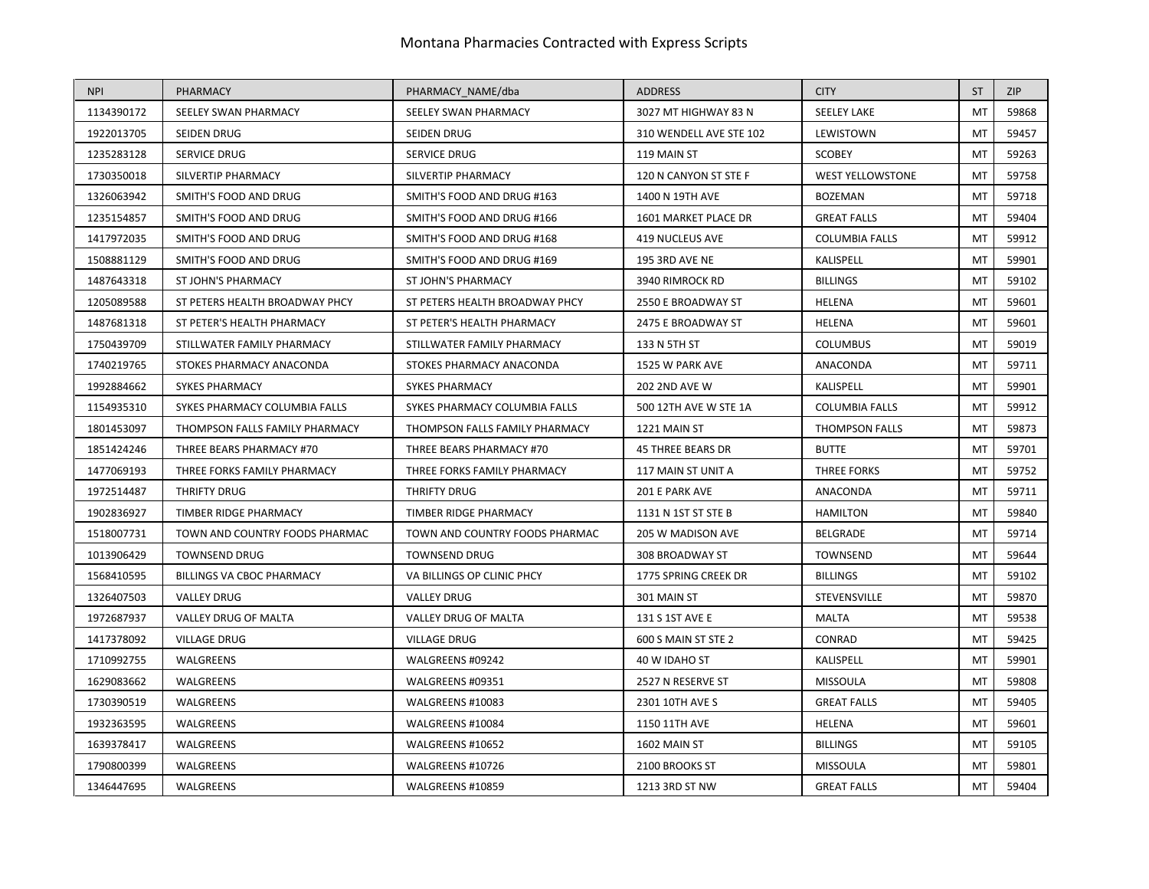| <b>NPI</b> | <b>PHARMACY</b>                | PHARMACY NAME/dba              | <b>ADDRESS</b>           | <b>CITY</b>             | <b>ST</b>      | <b>ZIP</b> |
|------------|--------------------------------|--------------------------------|--------------------------|-------------------------|----------------|------------|
| 1134390172 | SEELEY SWAN PHARMACY           | SEELEY SWAN PHARMACY           | 3027 MT HIGHWAY 83 N     | <b>SEELEY LAKE</b>      | <b>MT</b>      | 59868      |
| 1922013705 | SEIDEN DRUG                    | SEIDEN DRUG                    | 310 WENDELL AVE STE 102  | LEWISTOWN               | MT             | 59457      |
| 1235283128 | SERVICE DRUG                   | SERVICE DRUG                   | 119 MAIN ST              | <b>SCOBEY</b>           | MT             | 59263      |
| 1730350018 | SILVERTIP PHARMACY             | SILVERTIP PHARMACY             | 120 N CANYON ST STE F    | <b>WEST YELLOWSTONE</b> | MT             | 59758      |
| 1326063942 | SMITH'S FOOD AND DRUG          | SMITH'S FOOD AND DRUG #163     | 1400 N 19TH AVE          | <b>BOZEMAN</b>          | MT             | 59718      |
| 1235154857 | SMITH'S FOOD AND DRUG          | SMITH'S FOOD AND DRUG #166     | 1601 MARKET PLACE DR     | <b>GREAT FALLS</b>      | <b>MT</b>      | 59404      |
| 1417972035 | SMITH'S FOOD AND DRUG          | SMITH'S FOOD AND DRUG #168     | <b>419 NUCLEUS AVE</b>   | <b>COLUMBIA FALLS</b>   | MT             | 59912      |
| 1508881129 | SMITH'S FOOD AND DRUG          | SMITH'S FOOD AND DRUG #169     | 195 3RD AVE NE           | KALISPELL               | MT             | 59901      |
| 1487643318 | ST JOHN'S PHARMACY             | ST JOHN'S PHARMACY             | 3940 RIMROCK RD          | <b>BILLINGS</b>         | MT             | 59102      |
| 1205089588 | ST PETERS HEALTH BROADWAY PHCY | ST PETERS HEALTH BROADWAY PHCY | 2550 E BROADWAY ST       | HELENA                  | MT             | 59601      |
| 1487681318 | ST PETER'S HEALTH PHARMACY     | ST PETER'S HEALTH PHARMACY     | 2475 E BROADWAY ST       | HELENA                  | M <sub>1</sub> | 59601      |
| 1750439709 | STILLWATER FAMILY PHARMACY     | STILLWATER FAMILY PHARMACY     | 133 N 5TH ST             | <b>COLUMBUS</b>         | MT             | 59019      |
| 1740219765 | STOKES PHARMACY ANACONDA       | STOKES PHARMACY ANACONDA       | 1525 W PARK AVE          | ANACONDA                | MT             | 59711      |
| 1992884662 | <b>SYKES PHARMACY</b>          | <b>SYKES PHARMACY</b>          | <b>202 2ND AVE W</b>     | KALISPELL               | M <sub>1</sub> | 59901      |
| 1154935310 | SYKES PHARMACY COLUMBIA FALLS  | SYKES PHARMACY COLUMBIA FALLS  | 500 12TH AVE W STE 1A    | <b>COLUMBIA FALLS</b>   | M              | 59912      |
| 1801453097 | THOMPSON FALLS FAMILY PHARMACY | THOMPSON FALLS FAMILY PHARMACY | 1221 MAIN ST             | <b>THOMPSON FALLS</b>   | MT             | 59873      |
| 1851424246 | THREE BEARS PHARMACY #70       | THREE BEARS PHARMACY #70       | <b>45 THREE BEARS DR</b> | <b>BUTTE</b>            | MT             | 59701      |
| 1477069193 | THREE FORKS FAMILY PHARMACY    | THREE FORKS FAMILY PHARMACY    | 117 MAIN ST UNIT A       | <b>THREE FORKS</b>      | MT             | 59752      |
| 1972514487 | THRIFTY DRUG                   | THRIFTY DRUG                   | 201 E PARK AVE           | ANACONDA                | MT             | 59711      |
| 1902836927 | TIMBER RIDGE PHARMACY          | TIMBER RIDGE PHARMACY          | 1131 N 1ST ST STE B      | <b>HAMILTON</b>         | M              | 59840      |
| 1518007731 | TOWN AND COUNTRY FOODS PHARMAC | TOWN AND COUNTRY FOODS PHARMAC | 205 W MADISON AVE        | BELGRADE                | MT             | 59714      |
| 1013906429 | <b>TOWNSEND DRUG</b>           | <b>TOWNSEND DRUG</b>           | 308 BROADWAY ST          | TOWNSEND                | M <sub>1</sub> | 59644      |
| 1568410595 | BILLINGS VA CBOC PHARMACY      | VA BILLINGS OP CLINIC PHCY     | 1775 SPRING CREEK DR     | <b>BILLINGS</b>         | MT             | 59102      |
| 1326407503 | <b>VALLEY DRUG</b>             | <b>VALLEY DRUG</b>             | 301 MAIN ST              | <b>STEVENSVILLE</b>     | MT             | 59870      |
| 1972687937 | VALLEY DRUG OF MALTA           | VALLEY DRUG OF MALTA           | 131 S 1ST AVE E          | <b>MALTA</b>            | M <sub>1</sub> | 59538      |
| 1417378092 | <b>VILLAGE DRUG</b>            | <b>VILLAGE DRUG</b>            | 600 S MAIN ST STE 2      | CONRAD                  | MT             | 59425      |
| 1710992755 | WALGREENS                      | WALGREENS #09242               | 40 W IDAHO ST            | KALISPELL               | M <sub>1</sub> | 59901      |
| 1629083662 | WALGREENS                      | WALGREENS #09351               | 2527 N RESERVE ST        | <b>MISSOULA</b>         | MT             | 59808      |
| 1730390519 | <b>WALGREENS</b>               | WALGREENS #10083               | 2301 10TH AVE S          | <b>GREAT FALLS</b>      | MT             | 59405      |
| 1932363595 | WALGREENS                      | WALGREENS #10084               | 1150 11TH AVE            | HELENA                  | MT             | 59601      |
| 1639378417 | WALGREENS                      | WALGREENS #10652               | 1602 MAIN ST             | <b>BILLINGS</b>         | MT             | 59105      |
| 1790800399 | WALGREENS                      | WALGREENS #10726               | 2100 BROOKS ST           | <b>MISSOULA</b>         | M <sub>1</sub> | 59801      |
| 1346447695 | WALGREENS                      | WALGREENS #10859               | 1213 3RD ST NW           | <b>GREAT FALLS</b>      | MT             | 59404      |